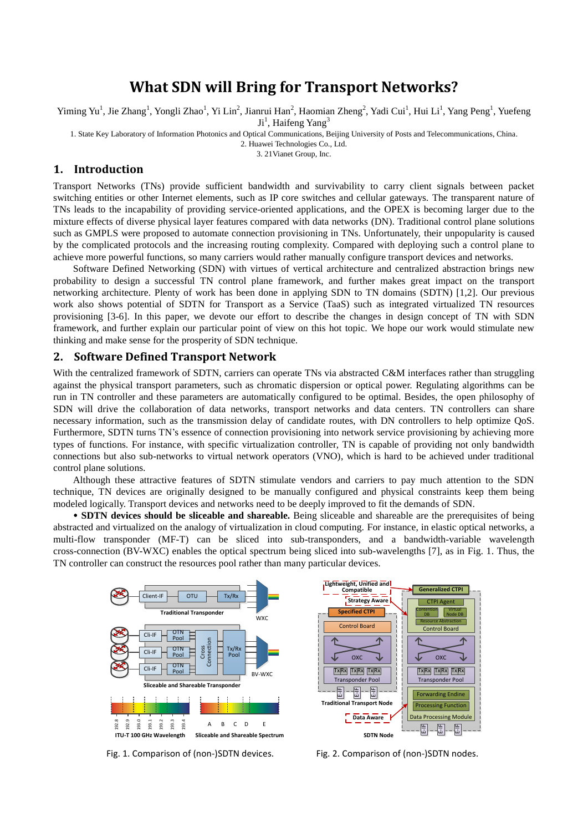# **What SDN will Bring for Transport Networks?**

Yiming Yu<sup>1</sup>, Jie Zhang<sup>1</sup>, Yongli Zhao<sup>1</sup>, Yi Lin<sup>2</sup>, Jianrui Han<sup>2</sup>, Haomian Zheng<sup>2</sup>, Yadi Cui<sup>1</sup>, Hui Li<sup>1</sup>, Yang Peng<sup>1</sup>, Yuefeng

Ji<sup>1</sup>, Haifeng Yang<sup>3</sup>

1. State Key Laboratory of Information Photonics and Optical Communications, Beijing University of Posts and Telecommunications, China.

2. Huawei Technologies Co., Ltd.

3. 21Vianet Group, Inc.

### **1. Introduction**

Transport Networks (TNs) provide sufficient bandwidth and survivability to carry client signals between packet switching entities or other Internet elements, such as IP core switches and cellular gateways. The transparent nature of TNs leads to the incapability of providing service-oriented applications, and the OPEX is becoming larger due to the mixture effects of diverse physical layer features compared with data networks (DN). Traditional control plane solutions such as GMPLS were proposed to automate connection provisioning in TNs. Unfortunately, their unpopularity is caused by the complicated protocols and the increasing routing complexity. Compared with deploying such a control plane to achieve more powerful functions, so many carriers would rather manually configure transport devices and networks.

Software Defined Networking (SDN) with virtues of vertical architecture and centralized abstraction brings new probability to design a successful TN control plane framework, and further makes great impact on the transport networking architecture. Plenty of work has been done in applying SDN to TN domains (SDTN) [1,2]. Our previous work also shows potential of SDTN for Transport as a Service (TaaS) such as integrated virtualized TN resources provisioning [3-6]. In this paper, we devote our effort to describe the changes in design concept of TN with SDN framework, and further explain our particular point of view on this hot topic. We hope our work would stimulate new thinking and make sense for the prosperity of SDN technique.

## **2. Software Defined Transport Network**

With the centralized framework of SDTN, carriers can operate TNs via abstracted C&M interfaces rather than struggling against the physical transport parameters, such as chromatic dispersion or optical power. Regulating algorithms can be run in TN controller and these parameters are automatically configured to be optimal. Besides, the open philosophy of SDN will drive the collaboration of data networks, transport networks and data centers. TN controllers can share necessary information, such as the transmission delay of candidate routes, with DN controllers to help optimize QoS. Furthermore, SDTN turns TN's essence of connection provisioning into network service provisioning by achieving more types of functions. For instance, with specific virtualization controller, TN is capable of providing not only bandwidth connections but also sub-networks to virtual network operators (VNO), which is hard to be achieved under traditional control plane solutions.

Although these attractive features of SDTN stimulate vendors and carriers to pay much attention to the SDN technique, TN devices are originally designed to be manually configured and physical constraints keep them being modeled logically. Transport devices and networks need to be deeply improved to fit the demands of SDN.

 **SDTN devices should be sliceable and shareable.** Being sliceable and shareable are the prerequisites of being abstracted and virtualized on the analogy of virtualization in cloud computing. For instance, in elastic optical networks, a multi-flow transponder (MF-T) can be sliced into sub-transponders, and a bandwidth-variable wavelength cross-connection (BV-WXC) enables the optical spectrum being sliced into sub-wavelengths [7], as in Fig. 1. Thus, the TN controller can construct the resources pool rather than many particular devices.



 $\overline{\mathbb{E}}$ -E-IF TxRx TxRx TxRx<br>Transponder Pool Control Board  $\mathbb{E}$ E-IF Tx $\frac{|\text{Tx}| \text{Rx}}{\text{Transporter Pool}}$ <br>
Fransponder Pool<br>
Forwarding Endine<br>
Processing Function<br>
ta Processing Mod Control Board **Processing Endine<br>
Processing Function**<br>
Data Processing Module CTPI Agent **Processing Function** Resource Abstraction **Contention Virtual<br>DB Node DB Traditional Transport Node SDTN Node Strategy Aware Data Aware** Ughtweight, Unified and<br>
Compatible<br>
Contention<br>
Specified CTPI<br>
Control Board<br>
Control Board<br>
Control Board<br>
Control Board<br>
Control Board<br>
Control Board<br>
Control Board<br>
Control Board<br>
Control Board<br>
Control Board<br>
Control

Fig. 1. Comparison of (non-)SDTN devices. Fig. 2. Comparison of (non-)SDTN nodes.